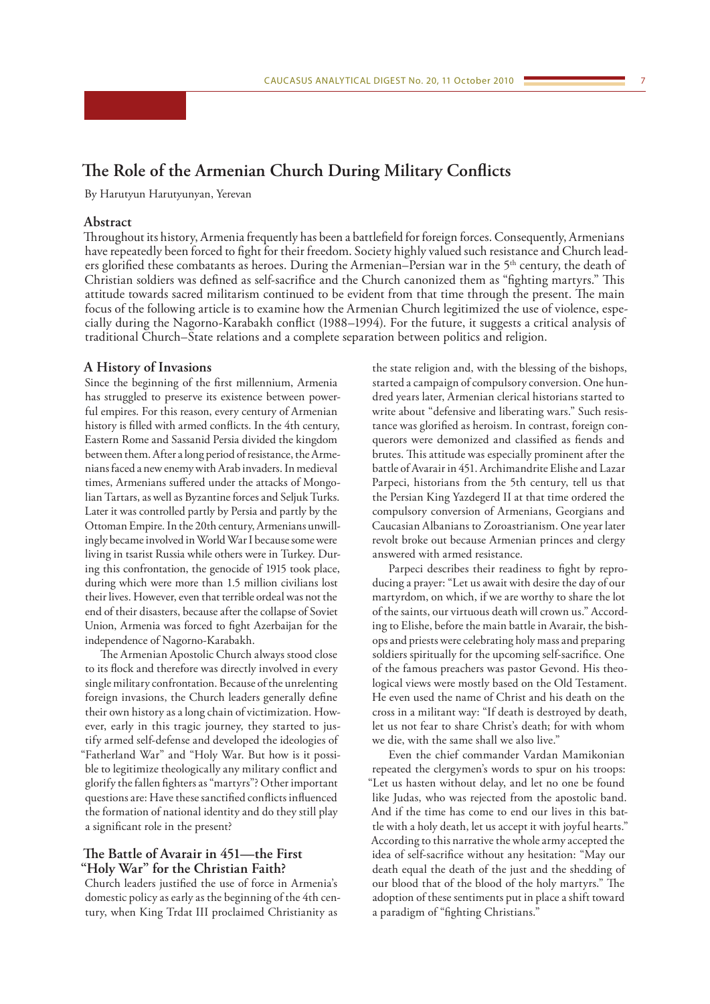# **The Role of the Armenian Church During Military Conflicts**

By Harutyun Harutyunyan, Yerevan

## **Abstract**

Throughout its history, Armenia frequently has been a battlefield for foreign forces. Consequently, Armenians have repeatedly been forced to fight for their freedom. Society highly valued such resistance and Church leaders glorified these combatants as heroes. During the Armenian–Persian war in the 5<sup>th</sup> century, the death of Christian soldiers was defined as self-sacrifice and the Church canonized them as "fighting martyrs." This attitude towards sacred militarism continued to be evident from that time through the present. The main focus of the following article is to examine how the Armenian Church legitimized the use of violence, especially during the Nagorno-Karabakh conflict (1988–1994). For the future, it suggests a critical analysis of traditional Church–State relations and a complete separation between politics and religion.

#### **A History of Invasions**

Since the beginning of the first millennium, Armenia has struggled to preserve its existence between powerful empires. For this reason, every century of Armenian history is filled with armed conflicts. In the 4th century, Eastern Rome and Sassanid Persia divided the kingdom between them. After a long period of resistance, the Armenians faced a new enemy with Arab invaders. In medieval times, Armenians suffered under the attacks of Mongolian Tartars, as well as Byzantine forces and Seljuk Turks. Later it was controlled partly by Persia and partly by the Ottoman Empire. In the 20th century, Armenians unwillingly became involved in World War I because some were living in tsarist Russia while others were in Turkey. During this confrontation, the genocide of 1915 took place, during which were more than 1.5 million civilians lost their lives. However, even that terrible ordeal was not the end of their disasters, because after the collapse of Soviet Union, Armenia was forced to fight Azerbaijan for the independence of Nagorno-Karabakh.

The Armenian Apostolic Church always stood close to its flock and therefore was directly involved in every single military confrontation. Because of the unrelenting foreign invasions, the Church leaders generally define their own history as a long chain of victimization. However, early in this tragic journey, they started to justify armed self-defense and developed the ideologies of "Fatherland War" and "Holy War. But how is it possible to legitimize theologically any military conflict and glorify the fallen fighters as "martyrs"? Other important questions are: Have these sanctified conflicts influenced the formation of national identity and do they still play a significant role in the present?

#### **The Battle of Avarair in 451—the First "Holy War" for the Christian Faith?**

Church leaders justified the use of force in Armenia's domestic policy as early as the beginning of the 4th century, when King Trdat III proclaimed Christianity as

the state religion and, with the blessing of the bishops, started a campaign of compulsory conversion. One hundred years later, Armenian clerical historians started to write about "defensive and liberating wars." Such resistance was glorified as heroism. In contrast, foreign conquerors were demonized and classified as fiends and brutes. This attitude was especially prominent after the battle of Avarair in 451. Archimandrite Elishe and Lazar Parpeci, historians from the 5th century, tell us that the Persian King Yazdegerd II at that time ordered the compulsory conversion of Armenians, Georgians and Caucasian Albanians to Zoroastrianism. One year later revolt broke out because Armenian princes and clergy answered with armed resistance.

Parpeci describes their readiness to fight by reproducing a prayer: "Let us await with desire the day of our martyrdom, on which, if we are worthy to share the lot of the saints, our virtuous death will crown us." According to Elishe, before the main battle in Avarair, the bishops and priests were celebrating holy mass and preparing soldiers spiritually for the upcoming self-sacrifice. One of the famous preachers was pastor Gevond. His theological views were mostly based on the Old Testament. He even used the name of Christ and his death on the cross in a militant way: "If death is destroyed by death, let us not fear to share Christ's death; for with whom we die, with the same shall we also live."

Even the chief commander Vardan Mamikonian repeated the clergymen's words to spur on his troops: "Let us hasten without delay, and let no one be found like Judas, who was rejected from the apostolic band. And if the time has come to end our lives in this battle with a holy death, let us accept it with joyful hearts." According to this narrative the whole army accepted the idea of self-sacrifice without any hesitation: "May our death equal the death of the just and the shedding of our blood that of the blood of the holy martyrs." The adoption of these sentiments put in place a shift toward a paradigm of "fighting Christians."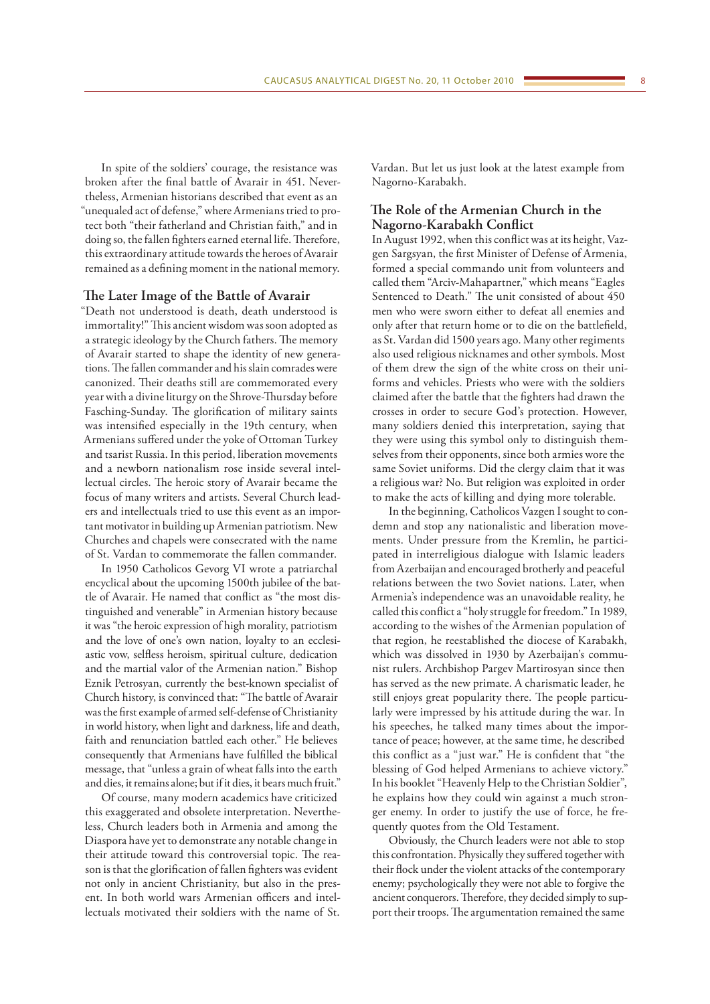In spite of the soldiers' courage, the resistance was broken after the final battle of Avarair in 451. Nevertheless, Armenian historians described that event as an "unequaled act of defense," where Armenians tried to protect both "their fatherland and Christian faith," and in doing so, the fallen fighters earned eternal life. Therefore, this extraordinary attitude towards the heroes of Avarair remained as a defining moment in the national memory.

#### **The Later Image of the Battle of Avarair**

"Death not understood is death, death understood is immortality!" This ancient wisdom was soon adopted as a strategic ideology by the Church fathers. The memory of Avarair started to shape the identity of new generations. The fallen commander and his slain comrades were canonized. Their deaths still are commemorated every year with a divine liturgy on the Shrove-Thursday before Fasching-Sunday. The glorification of military saints was intensified especially in the 19th century, when Armenians suffered under the yoke of Ottoman Turkey and tsarist Russia. In this period, liberation movements and a newborn nationalism rose inside several intellectual circles. The heroic story of Avarair became the focus of many writers and artists. Several Church leaders and intellectuals tried to use this event as an important motivator in building up Armenian patriotism. New Churches and chapels were consecrated with the name of St. Vardan to commemorate the fallen commander.

In 1950 Catholicos Gevorg VI wrote a patriarchal encyclical about the upcoming 1500th jubilee of the battle of Avarair. He named that conflict as "the most distinguished and venerable" in Armenian history because it was "the heroic expression of high morality, patriotism and the love of one's own nation, loyalty to an ecclesiastic vow, selfless heroism, spiritual culture, dedication and the martial valor of the Armenian nation." Bishop Eznik Petrosyan, currently the best-known specialist of Church history, is convinced that: "The battle of Avarair was the first example of armed self-defense of Christianity in world history, when light and darkness, life and death, faith and renunciation battled each other." He believes consequently that Armenians have fulfilled the biblical message, that "unless a grain of wheat falls into the earth and dies, it remains alone; but if it dies, it bears much fruit."

Of course, many modern academics have criticized this exaggerated and obsolete interpretation. Nevertheless, Church leaders both in Armenia and among the Diaspora have yet to demonstrate any notable change in their attitude toward this controversial topic. The reason is that the glorification of fallen fighters was evident not only in ancient Christianity, but also in the present. In both world wars Armenian officers and intellectuals motivated their soldiers with the name of St. Vardan. But let us just look at the latest example from Nagorno-Karabakh.

### **The Role of the Armenian Church in the Nagorno-Karabakh Conflict**

In August 1992, when this conflict was at its height, Vazgen Sargsyan, the first Minister of Defense of Armenia, formed a special commando unit from volunteers and called them "Arciv-Mahapartner," which means "Eagles Sentenced to Death." The unit consisted of about 450 men who were sworn either to defeat all enemies and only after that return home or to die on the battlefield, as St. Vardan did 1500 years ago. Many other regiments also used religious nicknames and other symbols. Most of them drew the sign of the white cross on their uniforms and vehicles. Priests who were with the soldiers claimed after the battle that the fighters had drawn the crosses in order to secure God's protection. However, many soldiers denied this interpretation, saying that they were using this symbol only to distinguish themselves from their opponents, since both armies wore the same Soviet uniforms. Did the clergy claim that it was a religious war? No. But religion was exploited in order to make the acts of killing and dying more tolerable.

In the beginning, Catholicos Vazgen I sought to condemn and stop any nationalistic and liberation movements. Under pressure from the Kremlin, he participated in interreligious dialogue with Islamic leaders from Azerbaijan and encouraged brotherly and peaceful relations between the two Soviet nations. Later, when Armenia's independence was an unavoidable reality, he called this conflict a "holy struggle for freedom." In 1989, according to the wishes of the Armenian population of that region, he reestablished the diocese of Karabakh, which was dissolved in 1930 by Azerbaijan's communist rulers. Archbishop Pargev Martirosyan since then has served as the new primate. A charismatic leader, he still enjoys great popularity there. The people particularly were impressed by his attitude during the war. In his speeches, he talked many times about the importance of peace; however, at the same time, he described this conflict as a "just war." He is confident that "the blessing of God helped Armenians to achieve victory." In his booklet "Heavenly Help to the Christian Soldier", he explains how they could win against a much stronger enemy. In order to justify the use of force, he frequently quotes from the Old Testament.

Obviously, the Church leaders were not able to stop this confrontation. Physically they suffered together with their flock under the violent attacks of the contemporary enemy; psychologically they were not able to forgive the ancient conquerors. Therefore, they decided simply to support their troops. The argumentation remained the same